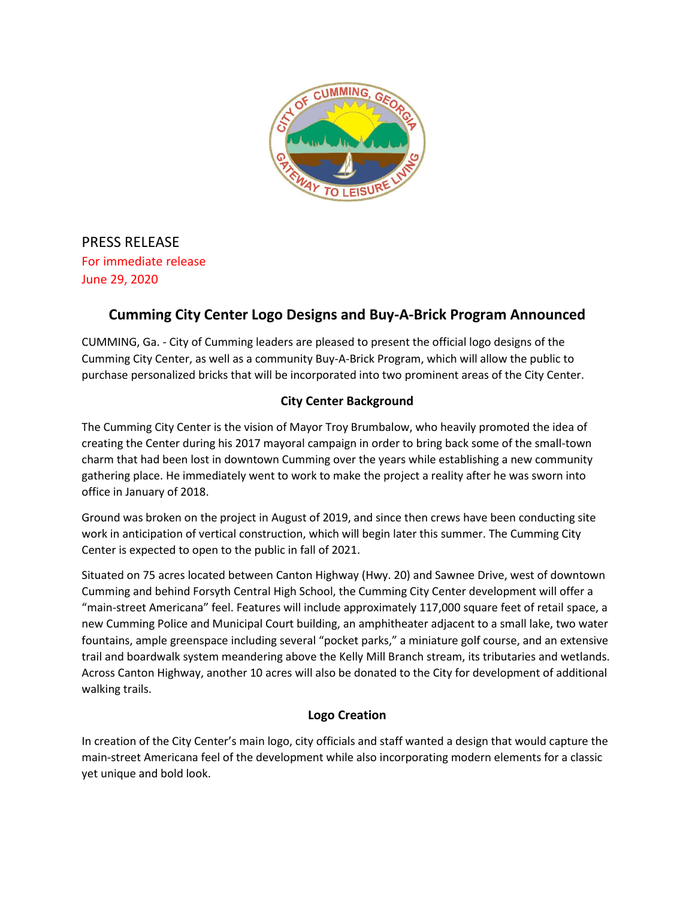

PRESS RELEASE For immediate release June 29, 2020

## **Cumming City Center Logo Designs and Buy-A-Brick Program Announced**

CUMMING, Ga. - City of Cumming leaders are pleased to present the official logo designs of the Cumming City Center, as well as a community Buy-A-Brick Program, which will allow the public to purchase personalized bricks that will be incorporated into two prominent areas of the City Center.

## **City Center Background**

The Cumming City Center is the vision of Mayor Troy Brumbalow, who heavily promoted the idea of creating the Center during his 2017 mayoral campaign in order to bring back some of the small-town charm that had been lost in downtown Cumming over the years while establishing a new community gathering place. He immediately went to work to make the project a reality after he was sworn into office in January of 2018.

Ground was broken on the project in August of 2019, and since then crews have been conducting site work in anticipation of vertical construction, which will begin later this summer. The Cumming City Center is expected to open to the public in fall of 2021.

Situated on 75 acres located between Canton Highway (Hwy. 20) and Sawnee Drive, west of downtown Cumming and behind Forsyth Central High School, the Cumming City Center development will offer a "main-street Americana" feel. Features will include approximately 117,000 square feet of retail space, a new Cumming Police and Municipal Court building, an amphitheater adjacent to a small lake, two water fountains, ample greenspace including several "pocket parks," a miniature golf course, and an extensive trail and boardwalk system meandering above the Kelly Mill Branch stream, its tributaries and wetlands. Across Canton Highway, another 10 acres will also be donated to the City for development of additional walking trails.

## **Logo Creation**

In creation of the City Center's main logo, city officials and staff wanted a design that would capture the main-street Americana feel of the development while also incorporating modern elements for a classic yet unique and bold look.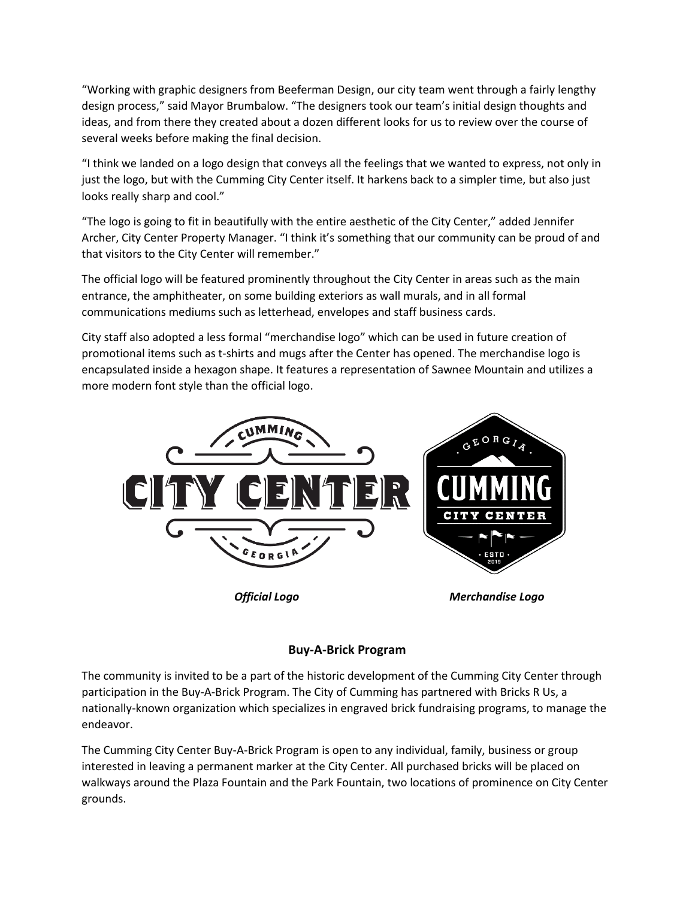"Working with graphic designers from Beeferman Design, our city team went through a fairly lengthy design process," said Mayor Brumbalow. "The designers took our team's initial design thoughts and ideas, and from there they created about a dozen different looks for us to review over the course of several weeks before making the final decision.

"I think we landed on a logo design that conveys all the feelings that we wanted to express, not only in just the logo, but with the Cumming City Center itself. It harkens back to a simpler time, but also just looks really sharp and cool."

"The logo is going to fit in beautifully with the entire aesthetic of the City Center," added Jennifer Archer, City Center Property Manager. "I think it's something that our community can be proud of and that visitors to the City Center will remember."

The official logo will be featured prominently throughout the City Center in areas such as the main entrance, the amphitheater, on some building exteriors as wall murals, and in all formal communications mediums such as letterhead, envelopes and staff business cards.

City staff also adopted a less formal "merchandise logo" which can be used in future creation of promotional items such as t-shirts and mugs after the Center has opened. The merchandise logo is encapsulated inside a hexagon shape. It features a representation of Sawnee Mountain and utilizes a more modern font style than the official logo.



## **Buy-A-Brick Program**

The community is invited to be a part of the historic development of the Cumming City Center through participation in the Buy-A-Brick Program. The City of Cumming has partnered with Bricks R Us, a nationally-known organization which specializes in engraved brick fundraising programs, to manage the endeavor.

The Cumming City Center Buy-A-Brick Program is open to any individual, family, business or group interested in leaving a permanent marker at the City Center. All purchased bricks will be placed on walkways around the Plaza Fountain and the Park Fountain, two locations of prominence on City Center grounds.